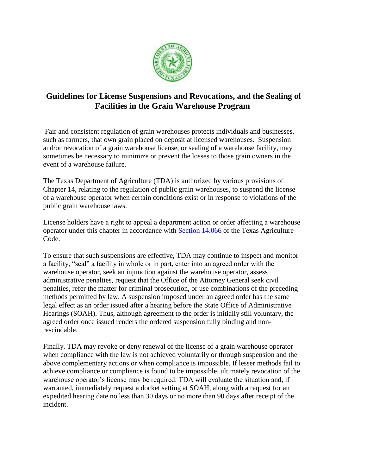

# **Guidelines for License Suspensions and Revocations, and the Sealing of Facilities in the Grain Warehouse Program**

Fair and consistent regulation of grain warehouses protects individuals and businesses, such as farmers, that own grain placed on deposit at licensed warehouses. Suspension and/or revocation of a grain warehouse license, or sealing of a warehouse facility, may sometimes be necessary to minimize or prevent the losses to those grain owners in the event of a warehouse failure.

The Texas Department of Agriculture (TDA) is authorized by various provisions of Chapter 14, relating to the regulation of public grain warehouses, to suspend the license of a warehouse operator when certain conditions exist or in response to violations of the public grain warehouse laws.

License holders have a right to appeal a department action or order affecting a warehouse operator under this chapter in accordance with [Section 14.066](http://www.statutes.legis.state.tx.us/Docs/AG/htm/AG.14.htm#14.066) of the Texas Agriculture Code.

To ensure that such suspensions are effective, TDA may continue to inspect and monitor a facility, "seal" a facility in whole or in part, enter into an agreed order with the warehouse operator, seek an injunction against the warehouse operator, assess administrative penalties, request that the Office of the Attorney General seek civil penalties, refer the matter for criminal prosecution, or use combinations of the preceding methods permitted by law. A suspension imposed under an agreed order has the same legal effect as an order issued after a hearing before the State Office of Administrative Hearings (SOAH). Thus, although agreement to the order is initially still voluntary, the agreed order once issued renders the ordered suspension fully binding and nonrescindable.

Finally, TDA may revoke or deny renewal of the license of a grain warehouse operator when compliance with the law is not achieved voluntarily or through suspension and the above complementary actions or when compliance is impossible. If lesser methods fail to achieve compliance or compliance is found to be impossible, ultimately revocation of the warehouse operator's license may be required. TDA will evaluate the situation and, if warranted, immediately request a docket setting at SOAH, along with a request for an expedited hearing date no less than 30 days or no more than 90 days after receipt of the incident.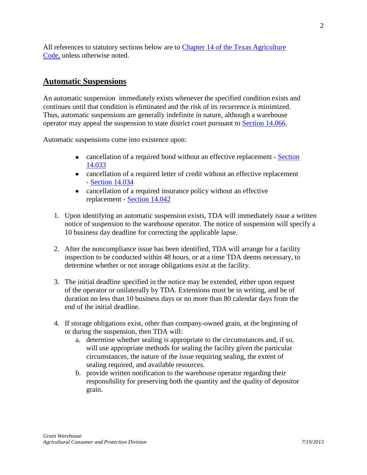All references to statutory sections below are to [Chapter 14 of the Texas Agriculture](http://www.statutes.legis.state.tx.us/Docs/AG/pdf/AG.14.pdf)  [Code,](http://www.statutes.legis.state.tx.us/Docs/AG/pdf/AG.14.pdf) unless otherwise noted.

# **Automatic Suspensions**

An automatic suspension immediately exists whenever the specified condition exists and continues until that condition is eliminated and the risk of its recurrence is minimized. Thus, automatic suspensions are generally indefinite in nature, although a warehouse operator may appeal the suspension to state district court pursuant to [Section 14.066.](http://www.statutes.legis.state.tx.us/Docs/AG/htm/AG.14.htm#14.066)

Automatic suspensions come into existence upon:

- cancellation of a required bond without an effective replacement Section [14.033](http://www.statutes.legis.state.tx.us/Docs/AG/htm/AG.14.htm#14.033)
- cancellation of a required letter of credit without an effective replacement - [Section 14.034](http://www.statutes.legis.state.tx.us/Docs/AG/htm/AG.14.htm#14.034)
- cancellation of a required insurance policy without an effective replacement - [Section 14.042](http://www.statutes.legis.state.tx.us/Docs/AG/htm/AG.14.htm#14.042)
- 1. Upon identifying an automatic suspension exists, TDA will immediately issue a written notice of suspension to the warehouse operator. The notice of suspension will specify a 10 business day deadline for correcting the applicable lapse.
- 2. After the noncompliance issue has been identified, TDA will arrange for a facility inspection to be conducted within 48 hours, or at a time TDA deems necessary, to determine whether or not storage obligations exist at the facility.
- 3. The initial deadline specified in the notice may be extended, either upon request of the operator or unilaterally by TDA. Extensions must be in writing, and be of duration no less than 10 business days or no more than 80 calendar days from the end of the initial deadline.
- 4. If storage obligations exist, other than company-owned grain, at the beginning of or during the suspension, then TDA will:
	- a. determine whether sealing is appropriate to the circumstances and, if so, will use appropriate methods for sealing the facility given the particular circumstances, the nature of the issue requiring sealing, the extent of sealing required, and available resources.
	- b. provide written notification to the warehouse operator regarding their responsibility for preserving both the quantity and the quality of depositor grain.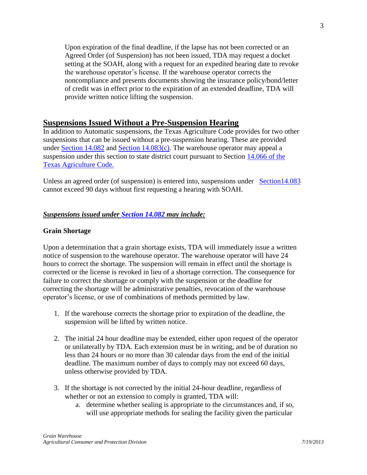Upon expiration of the final deadline, if the lapse has not been corrected or an Agreed Order (of Suspension) has not been issued, TDA may request a docket setting at the SOAH, along with a request for an expedited hearing date to revoke the warehouse operator's license. If the warehouse operator corrects the noncompliance and presents documents showing the insurance policy/bond/letter of credit was in effect prior to the expiration of an extended deadline, TDA will provide written notice lifting the suspension.

# **Suspensions Issued Without a Pre-Suspension Hearing**

In addition to Automatic suspensions, the Texas Agriculture Code provides for two other suspensions that can be issued without a pre-suspension hearing. These are provided under [Section 14.082](http://www.statutes.legis.state.tx.us/Docs/AG/htm/AG.14.htm#14.082) and [Section 14.083\(c\).](http://www.statutes.legis.state.tx.us/Docs/AG/htm/AG.14.htm#14.083) The warehouse operator may appeal a suspension under this section to state district court pursuant to Section [14.066 of the](http://www.statutes.legis.state.tx.us/Docs/AG/htm/AG.14.htm#14.066)  [Texas Agriculture Code.](http://www.statutes.legis.state.tx.us/Docs/AG/htm/AG.14.htm#14.066)

Unless an agreed order (of suspension) is entered into, suspensions under [Section14.083](http://www.statutes.legis.state.tx.us/Docs/AG/htm/AG.14.htm#14.083) cannot exceed 90 days without first requesting a hearing with SOAH.

### *Suspensions issued under [Section 14.082](http://www.statutes.legis.state.tx.us/Docs/AG/htm/AG.14.htm#14.082) may include:*

#### **Grain Shortage**

Upon a determination that a grain shortage exists, TDA will immediately issue a written notice of suspension to the warehouse operator. The warehouse operator will have 24 hours to correct the shortage. The suspension will remain in effect until the shortage is corrected or the license is revoked in lieu of a shortage correction. The consequence for failure to correct the shortage or comply with the suspension or the deadline for correcting the shortage will be administrative penalties, revocation of the warehouse operator's license, or use of combinations of methods permitted by law.

- 1. If the warehouse corrects the shortage prior to expiration of the deadline, the suspension will be lifted by written notice.
- 2. The initial 24 hour deadline may be extended, either upon request of the operator or unilaterally by TDA. Each extension must be in writing, and be of duration no less than 24 hours or no more than 30 calendar days from the end of the initial deadline. The maximum number of days to comply may not exceed 60 days, unless otherwise provided by TDA.
- 3. If the shortage is not corrected by the initial 24-hour deadline, regardless of whether or not an extension to comply is granted, TDA will:
	- a. determine whether sealing is appropriate to the circumstances and, if so, will use appropriate methods for sealing the facility given the particular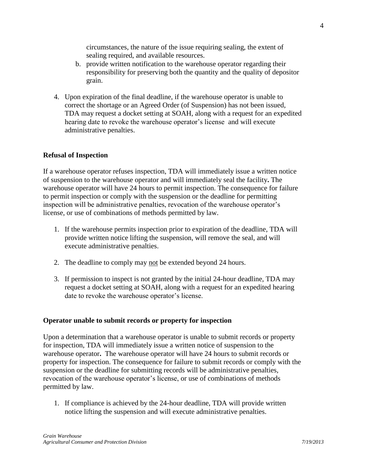circumstances, the nature of the issue requiring sealing, the extent of sealing required, and available resources.

- b. provide written notification to the warehouse operator regarding their responsibility for preserving both the quantity and the quality of depositor grain.
- 4. Upon expiration of the final deadline, if the warehouse operator is unable to correct the shortage or an Agreed Order (of Suspension) has not been issued, TDA may request a docket setting at SOAH, along with a request for an expedited hearing date to revoke the warehouse operator's license and will execute administrative penalties.

#### **Refusal of Inspection**

If a warehouse operator refuses inspection, TDA will immediately issue a written notice of suspension to the warehouse operator and will immediately seal the facility**.** The warehouse operator will have 24 hours to permit inspection. The consequence for failure to permit inspection or comply with the suspension or the deadline for permitting inspection will be administrative penalties, revocation of the warehouse operator's license, or use of combinations of methods permitted by law.

- 1. If the warehouse permits inspection prior to expiration of the deadline, TDA will provide written notice lifting the suspension, will remove the seal, and will execute administrative penalties.
- 2. The deadline to comply may not be extended beyond 24 hours.
- 3. If permission to inspect is not granted by the initial 24-hour deadline, TDA may request a docket setting at SOAH, along with a request for an expedited hearing date to revoke the warehouse operator's license.

#### **Operator unable to submit records or property for inspection**

Upon a determination that a warehouse operator is unable to submit records or property for inspection, TDA will immediately issue a written notice of suspension to the warehouse operator**.** The warehouse operator will have 24 hours to submit records or property for inspection. The consequence for failure to submit records or comply with the suspension or the deadline for submitting records will be administrative penalties, revocation of the warehouse operator's license, or use of combinations of methods permitted by law.

1. If compliance is achieved by the 24-hour deadline, TDA will provide written notice lifting the suspension and will execute administrative penalties.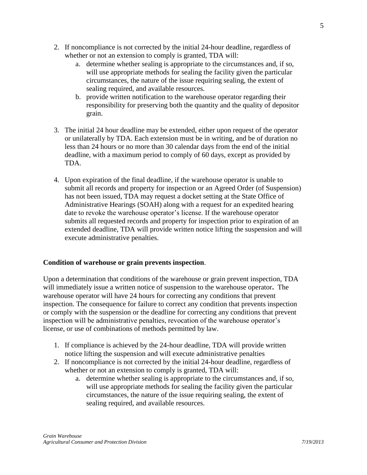- 2. If noncompliance is not corrected by the initial 24-hour deadline, regardless of whether or not an extension to comply is granted, TDA will:
	- a. determine whether sealing is appropriate to the circumstances and, if so, will use appropriate methods for sealing the facility given the particular circumstances, the nature of the issue requiring sealing, the extent of sealing required, and available resources.
	- b. provide written notification to the warehouse operator regarding their responsibility for preserving both the quantity and the quality of depositor grain.
- 3. The initial 24 hour deadline may be extended, either upon request of the operator or unilaterally by TDA. Each extension must be in writing, and be of duration no less than 24 hours or no more than 30 calendar days from the end of the initial deadline, with a maximum period to comply of 60 days, except as provided by TDA.
- 4. Upon expiration of the final deadline, if the warehouse operator is unable to submit all records and property for inspection or an Agreed Order (of Suspension) has not been issued, TDA may request a docket setting at the State Office of Administrative Hearings (SOAH) along with a request for an expedited hearing date to revoke the warehouse operator's license. If the warehouse operator submits all requested records and property for inspection prior to expiration of an extended deadline, TDA will provide written notice lifting the suspension and will execute administrative penalties.

## **Condition of warehouse or grain prevents inspection**.

Upon a determination that conditions of the warehouse or grain prevent inspection, TDA will immediately issue a written notice of suspension to the warehouse operator**.** The warehouse operator will have 24 hours for correcting any conditions that prevent inspection. The consequence for failure to correct any condition that prevents inspection or comply with the suspension or the deadline for correcting any conditions that prevent inspection will be administrative penalties, revocation of the warehouse operator's license, or use of combinations of methods permitted by law.

- 1. If compliance is achieved by the 24-hour deadline, TDA will provide written notice lifting the suspension and will execute administrative penalties
- 2. If noncompliance is not corrected by the initial 24-hour deadline, regardless of whether or not an extension to comply is granted, TDA will:
	- a. determine whether sealing is appropriate to the circumstances and, if so, will use appropriate methods for sealing the facility given the particular circumstances, the nature of the issue requiring sealing, the extent of sealing required, and available resources.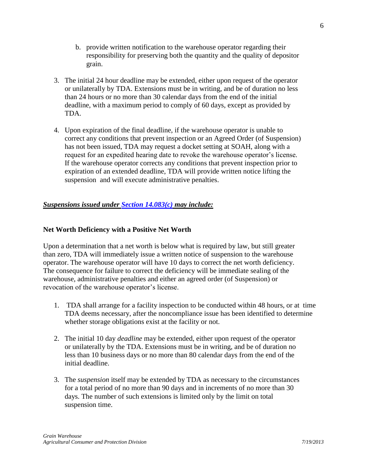- b. provide written notification to the warehouse operator regarding their responsibility for preserving both the quantity and the quality of depositor grain.
- 3. The initial 24 hour deadline may be extended, either upon request of the operator or unilaterally by TDA. Extensions must be in writing, and be of duration no less than 24 hours or no more than 30 calendar days from the end of the initial deadline, with a maximum period to comply of 60 days, except as provided by TDA.
- 4. Upon expiration of the final deadline, if the warehouse operator is unable to correct any conditions that prevent inspection or an Agreed Order (of Suspension) has not been issued, TDA may request a docket setting at SOAH, along with a request for an expedited hearing date to revoke the warehouse operator's license*.* If the warehouse operator corrects any conditions that prevent inspection prior to expiration of an extended deadline, TDA will provide written notice lifting the suspension and will execute administrative penalties.

### *Suspensions issued under [Section 14.083\(c\)](http://www.statutes.legis.state.tx.us/Docs/AG/htm/AG.14.htm#14.083) may include:*

### **Net Worth Deficiency with a Positive Net Worth**

Upon a determination that a net worth is below what is required by law, but still greater than zero, TDA will immediately issue a written notice of suspension to the warehouse operator. The warehouse operator will have 10 days to correct the net worth deficiency. The consequence for failure to correct the deficiency will be immediate sealing of the warehouse, administrative penalties and either an agreed order (of Suspension) or revocation of the warehouse operator's license.

- 1. TDA shall arrange for a facility inspection to be conducted within 48 hours, or at time TDA deems necessary, after the noncompliance issue has been identified to determine whether storage obligations exist at the facility or not.
- 2. The initial 10 day *deadline* may be extended, either upon request of the operator or unilaterally by the TDA. Extensions must be in writing, and be of duration no less than 10 business days or no more than 80 calendar days from the end of the initial deadline.
- 3. The *suspension* itself may be extended by TDA as necessary to the circumstances for a total period of no more than 90 days and in increments of no more than 30 days. The number of such extensions is limited only by the limit on total suspension time.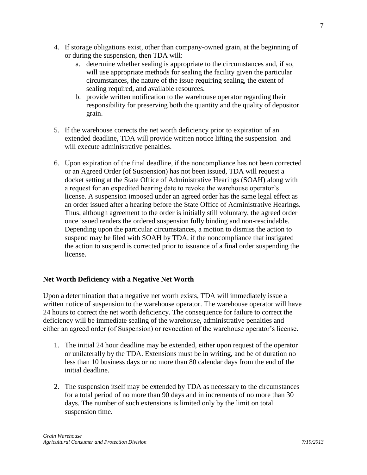- 4. If storage obligations exist, other than company-owned grain, at the beginning of or during the suspension, then TDA will:
	- a. determine whether sealing is appropriate to the circumstances and, if so, will use appropriate methods for sealing the facility given the particular circumstances, the nature of the issue requiring sealing, the extent of sealing required, and available resources.
	- b. provide written notification to the warehouse operator regarding their responsibility for preserving both the quantity and the quality of depositor grain.
- 5. If the warehouse corrects the net worth deficiency prior to expiration of an extended deadline, TDA will provide written notice lifting the suspension and will execute administrative penalties.
- 6. Upon expiration of the final deadline, if the noncompliance has not been corrected or an Agreed Order (of Suspension) has not been issued, TDA will request a docket setting at the State Office of Administrative Hearings (SOAH) along with a request for an expedited hearing date to revoke the warehouse operator's license. A suspension imposed under an agreed order has the same legal effect as an order issued after a hearing before the State Office of Administrative Hearings. Thus, although agreement to the order is initially still voluntary, the agreed order once issued renders the ordered suspension fully binding and non-rescindable. Depending upon the particular circumstances, a motion to dismiss the action to suspend may be filed with SOAH by TDA, if the noncompliance that instigated the action to suspend is corrected prior to issuance of a final order suspending the license.

## **Net Worth Deficiency with a Negative Net Worth**

Upon a determination that a negative net worth exists, TDA will immediately issue a written notice of suspension to the warehouse operator. The warehouse operator will have 24 hours to correct the net worth deficiency. The consequence for failure to correct the deficiency will be immediate sealing of the warehouse, administrative penalties and either an agreed order (of Suspension) or revocation of the warehouse operator's license.

- 1. The initial 24 hour deadline may be extended, either upon request of the operator or unilaterally by the TDA. Extensions must be in writing, and be of duration no less than 10 business days or no more than 80 calendar days from the end of the initial deadline.
- 2. The suspension itself may be extended by TDA as necessary to the circumstances for a total period of no more than 90 days and in increments of no more than 30 days. The number of such extensions is limited only by the limit on total suspension time.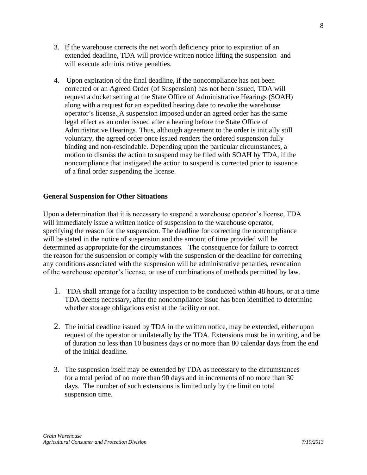- 3. If the warehouse corrects the net worth deficiency prior to expiration of an extended deadline, TDA will provide written notice lifting the suspension and will execute administrative penalties.
- 4. Upon expiration of the final deadline, if the noncompliance has not been corrected or an Agreed Order (of Suspension) has not been issued, TDA will request a docket setting at the State Office of Administrative Hearings (SOAH) along with a request for an expedited hearing date to revoke the warehouse operator's license. A suspension imposed under an agreed order has the same legal effect as an order issued after a hearing before the State Office of Administrative Hearings. Thus, although agreement to the order is initially still voluntary, the agreed order once issued renders the ordered suspension fully binding and non-rescindable*.* Depending upon the particular circumstances, a motion to dismiss the action to suspend may be filed with SOAH by TDA, if the noncompliance that instigated the action to suspend is corrected prior to issuance of a final order suspending the license.

#### **General Suspension for Other Situations**

Upon a determination that it is necessary to suspend a warehouse operator's license, TDA will immediately issue a written notice of suspension to the warehouse operator, specifying the reason for the suspension. The deadline for correcting the noncompliance will be stated in the notice of suspension and the amount of time provided will be determined as appropriate for the circumstances. The consequence for failure to correct the reason for the suspension or comply with the suspension or the deadline for correcting any conditions associated with the suspension will be administrative penalties, revocation of the warehouse operator's license, or use of combinations of methods permitted by law.

- 1. TDA shall arrange for a facility inspection to be conducted within 48 hours, or at a time TDA deems necessary, after the noncompliance issue has been identified to determine whether storage obligations exist at the facility or not.
- 2. The initial deadline issued by TDA in the written notice, may be extended, either upon request of the operator or unilaterally by the TDA. Extensions must be in writing, and be of duration no less than 10 business days or no more than 80 calendar days from the end of the initial deadline.
- 3. The suspension itself may be extended by TDA as necessary to the circumstances for a total period of no more than 90 days and in increments of no more than 30 days. The number of such extensions is limited only by the limit on total suspension time.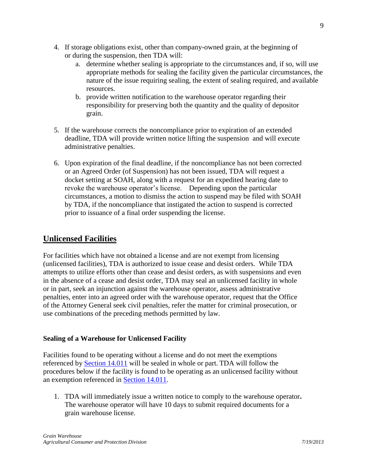- 4. If storage obligations exist, other than company-owned grain, at the beginning of or during the suspension, then TDA will:
	- a. determine whether sealing is appropriate to the circumstances and, if so, will use appropriate methods for sealing the facility given the particular circumstances, the nature of the issue requiring sealing, the extent of sealing required, and available resources.
	- b. provide written notification to the warehouse operator regarding their responsibility for preserving both the quantity and the quality of depositor grain.
- 5. If the warehouse corrects the noncompliance prior to expiration of an extended deadline, TDA will provide written notice lifting the suspension and will execute administrative penalties.
- 6. Upon expiration of the final deadline, if the noncompliance has not been corrected or an Agreed Order (of Suspension) has not been issued, TDA will request a docket setting at SOAH, along with a request for an expedited hearing date to revoke the warehouse operator's license. Depending upon the particular circumstances, a motion to dismiss the action to suspend may be filed with SOAH by TDA, if the noncompliance that instigated the action to suspend is corrected prior to issuance of a final order suspending the license.

# **Unlicensed Facilities**

For facilities which have not obtained a license and are not exempt from licensing (unlicensed facilities), TDA is authorized to issue cease and desist orders. While TDA attempts to utilize efforts other than cease and desist orders, as with suspensions and even in the absence of a cease and desist order, TDA may seal an unlicensed facility in whole or in part, seek an injunction against the warehouse operator, assess administrative penalties, enter into an agreed order with the warehouse operator, request that the Office of the Attorney General seek civil penalties, refer the matter for criminal prosecution, or use combinations of the preceding methods permitted by law.

## **Sealing of a Warehouse for Unlicensed Facility**

Facilities found to be operating without a license and do not meet the exemptions referenced by [Section 14.011](http://www.statutes.legis.state.tx.us/Docs/AG/htm/AG.14.htm#14.011) will be sealed in whole or part. TDA will follow the procedures below if the facility is found to be operating as an unlicensed facility without an exemption referenced in [Section 14.011.](http://www.statutes.legis.state.tx.us/Docs/AG/htm/AG.14.htm#14.011)

1. TDA will immediately issue a written notice to comply to the warehouse operator**.** The warehouse operator will have 10 days to submit required documents for a grain warehouse license.